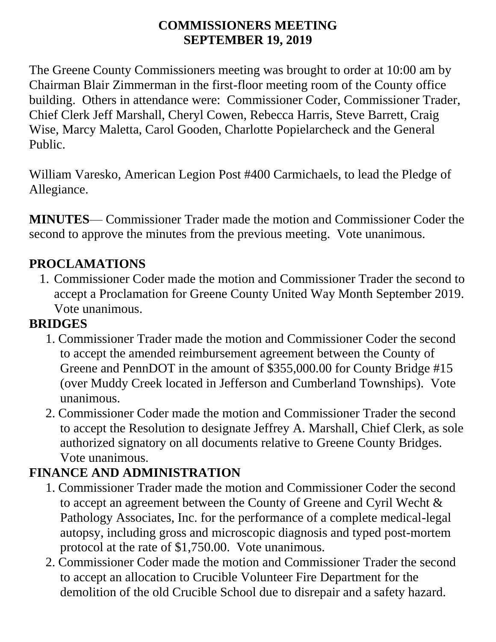#### **COMMISSIONERS MEETING SEPTEMBER 19, 2019**

The Greene County Commissioners meeting was brought to order at 10:00 am by Chairman Blair Zimmerman in the first-floor meeting room of the County office building. Others in attendance were: Commissioner Coder, Commissioner Trader, Chief Clerk Jeff Marshall, Cheryl Cowen, Rebecca Harris, Steve Barrett, Craig Wise, Marcy Maletta, Carol Gooden, Charlotte Popielarcheck and the General Public.

William Varesko, American Legion Post #400 Carmichaels, to lead the Pledge of Allegiance.

**MINUTES**— Commissioner Trader made the motion and Commissioner Coder the second to approve the minutes from the previous meeting. Vote unanimous.

### **PROCLAMATIONS**

1. Commissioner Coder made the motion and Commissioner Trader the second to accept a Proclamation for Greene County United Way Month September 2019. Vote unanimous.

#### **BRIDGES**

- 1. Commissioner Trader made the motion and Commissioner Coder the second to accept the amended reimbursement agreement between the County of Greene and PennDOT in the amount of \$355,000.00 for County Bridge #15 (over Muddy Creek located in Jefferson and Cumberland Townships). Vote unanimous.
- 2. Commissioner Coder made the motion and Commissioner Trader the second to accept the Resolution to designate Jeffrey A. Marshall, Chief Clerk, as sole authorized signatory on all documents relative to Greene County Bridges. Vote unanimous.

#### **FINANCE AND ADMINISTRATION**

- 1. Commissioner Trader made the motion and Commissioner Coder the second to accept an agreement between the County of Greene and Cyril Wecht & Pathology Associates, Inc. for the performance of a complete medical-legal autopsy, including gross and microscopic diagnosis and typed post-mortem protocol at the rate of \$1,750.00. Vote unanimous.
- 2. Commissioner Coder made the motion and Commissioner Trader the second to accept an allocation to Crucible Volunteer Fire Department for the demolition of the old Crucible School due to disrepair and a safety hazard.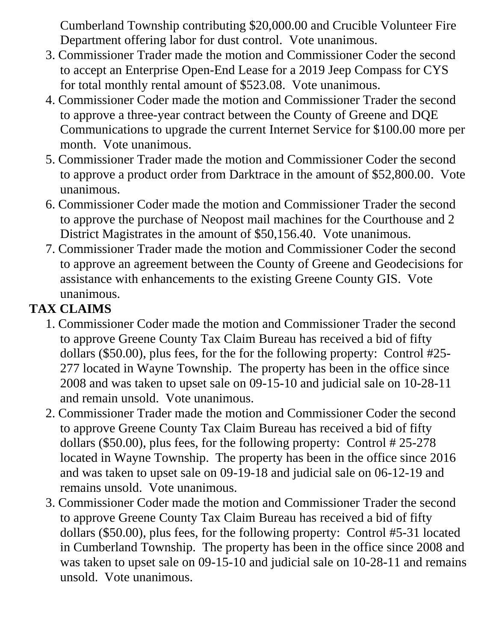Cumberland Township contributing \$20,000.00 and Crucible Volunteer Fire Department offering labor for dust control. Vote unanimous.

- 3. Commissioner Trader made the motion and Commissioner Coder the second to accept an Enterprise Open-End Lease for a 2019 Jeep Compass for CYS for total monthly rental amount of \$523.08. Vote unanimous.
- 4. Commissioner Coder made the motion and Commissioner Trader the second to approve a three-year contract between the County of Greene and DQE Communications to upgrade the current Internet Service for \$100.00 more per month. Vote unanimous.
- 5. Commissioner Trader made the motion and Commissioner Coder the second to approve a product order from Darktrace in the amount of \$52,800.00. Vote unanimous.
- 6. Commissioner Coder made the motion and Commissioner Trader the second to approve the purchase of Neopost mail machines for the Courthouse and 2 District Magistrates in the amount of \$50,156.40. Vote unanimous.
- 7. Commissioner Trader made the motion and Commissioner Coder the second to approve an agreement between the County of Greene and Geodecisions for assistance with enhancements to the existing Greene County GIS. Vote unanimous.

# **TAX CLAIMS**

- 1. Commissioner Coder made the motion and Commissioner Trader the second to approve Greene County Tax Claim Bureau has received a bid of fifty dollars (\$50.00), plus fees, for the for the following property: Control #25- 277 located in Wayne Township. The property has been in the office since 2008 and was taken to upset sale on 09-15-10 and judicial sale on 10-28-11 and remain unsold. Vote unanimous.
- 2. Commissioner Trader made the motion and Commissioner Coder the second to approve Greene County Tax Claim Bureau has received a bid of fifty dollars (\$50.00), plus fees, for the following property: Control # 25-278 located in Wayne Township. The property has been in the office since 2016 and was taken to upset sale on 09-19-18 and judicial sale on 06-12-19 and remains unsold. Vote unanimous.
- 3. Commissioner Coder made the motion and Commissioner Trader the second to approve Greene County Tax Claim Bureau has received a bid of fifty dollars (\$50.00), plus fees, for the following property: Control #5-31 located in Cumberland Township. The property has been in the office since 2008 and was taken to upset sale on 09-15-10 and judicial sale on 10-28-11 and remains unsold. Vote unanimous.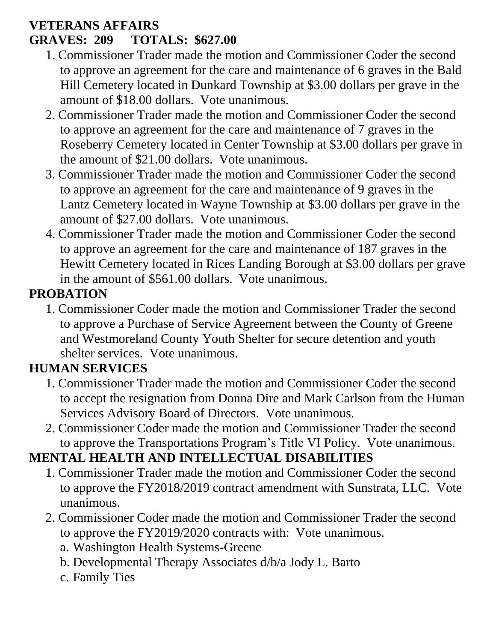#### **VETERANS AFFAIRS GRAVES: 209 TOTALS: \$627.00**

- 1. Commissioner Trader made the motion and Commissioner Coder the second to approve an agreement for the care and maintenance of 6 graves in the Bald Hill Cemetery located in Dunkard Township at \$3.00 dollars per grave in the amount of \$18.00 dollars. Vote unanimous.
- 2. Commissioner Trader made the motion and Commissioner Coder the second to approve an agreement for the care and maintenance of 7 graves in the Roseberry Cemetery located in Center Township at \$3.00 dollars per grave in the amount of \$21.00 dollars. Vote unanimous.
- 3. Commissioner Trader made the motion and Commissioner Coder the second to approve an agreement for the care and maintenance of 9 graves in the Lantz Cemetery located in Wayne Township at \$3.00 dollars per grave in the amount of \$27.00 dollars. Vote unanimous.
- 4. Commissioner Trader made the motion and Commissioner Coder the second to approve an agreement for the care and maintenance of 187 graves in the Hewitt Cemetery located in Rices Landing Borough at \$3.00 dollars per grave in the amount of \$561.00 dollars. Vote unanimous.

# **PROBATION**

1. Commissioner Coder made the motion and Commissioner Trader the second to approve a Purchase of Service Agreement between the County of Greene and Westmoreland County Youth Shelter for secure detention and youth shelter services. Vote unanimous.

## **HUMAN SERVICES**

- 1. Commissioner Trader made the motion and Commissioner Coder the second to accept the resignation from Donna Dire and Mark Carlson from the Human Services Advisory Board of Directors. Vote unanimous.
- 2. Commissioner Coder made the motion and Commissioner Trader the second to approve the Transportations Program's Title VI Policy. Vote unanimous.

## **MENTAL HEALTH AND INTELLECTUAL DISABILITIES**

- 1. Commissioner Trader made the motion and Commissioner Coder the second to approve the FY2018/2019 contract amendment with Sunstrata, LLC. Vote unanimous.
- 2. Commissioner Coder made the motion and Commissioner Trader the second to approve the FY2019/2020 contracts with: Vote unanimous.
	- a. Washington Health Systems-Greene
	- b. Developmental Therapy Associates d/b/a Jody L. Barto
	- c. Family Ties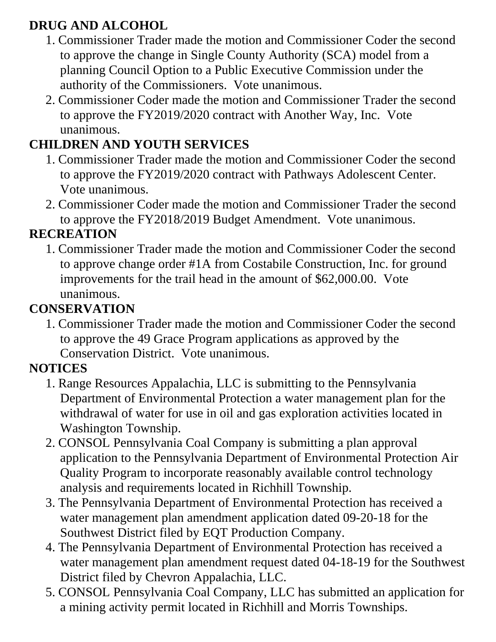## **DRUG AND ALCOHOL**

- 1. Commissioner Trader made the motion and Commissioner Coder the second to approve the change in Single County Authority (SCA) model from a planning Council Option to a Public Executive Commission under the authority of the Commissioners. Vote unanimous.
- 2. Commissioner Coder made the motion and Commissioner Trader the second to approve the FY2019/2020 contract with Another Way, Inc. Vote unanimous.

## **CHILDREN AND YOUTH SERVICES**

- 1. Commissioner Trader made the motion and Commissioner Coder the second to approve the FY2019/2020 contract with Pathways Adolescent Center. Vote unanimous.
- 2. Commissioner Coder made the motion and Commissioner Trader the second to approve the FY2018/2019 Budget Amendment. Vote unanimous.

### **RECREATION**

1. Commissioner Trader made the motion and Commissioner Coder the second to approve change order #1A from Costabile Construction, Inc. for ground improvements for the trail head in the amount of \$62,000.00. Vote unanimous.

## **CONSERVATION**

1. Commissioner Trader made the motion and Commissioner Coder the second to approve the 49 Grace Program applications as approved by the Conservation District. Vote unanimous.

## **NOTICES**

- 1. Range Resources Appalachia, LLC is submitting to the Pennsylvania Department of Environmental Protection a water management plan for the withdrawal of water for use in oil and gas exploration activities located in Washington Township.
- 2. CONSOL Pennsylvania Coal Company is submitting a plan approval application to the Pennsylvania Department of Environmental Protection Air Quality Program to incorporate reasonably available control technology analysis and requirements located in Richhill Township.
- 3. The Pennsylvania Department of Environmental Protection has received a water management plan amendment application dated 09-20-18 for the Southwest District filed by EQT Production Company.
- 4. The Pennsylvania Department of Environmental Protection has received a water management plan amendment request dated 04-18-19 for the Southwest District filed by Chevron Appalachia, LLC.
- 5. CONSOL Pennsylvania Coal Company, LLC has submitted an application for a mining activity permit located in Richhill and Morris Townships.